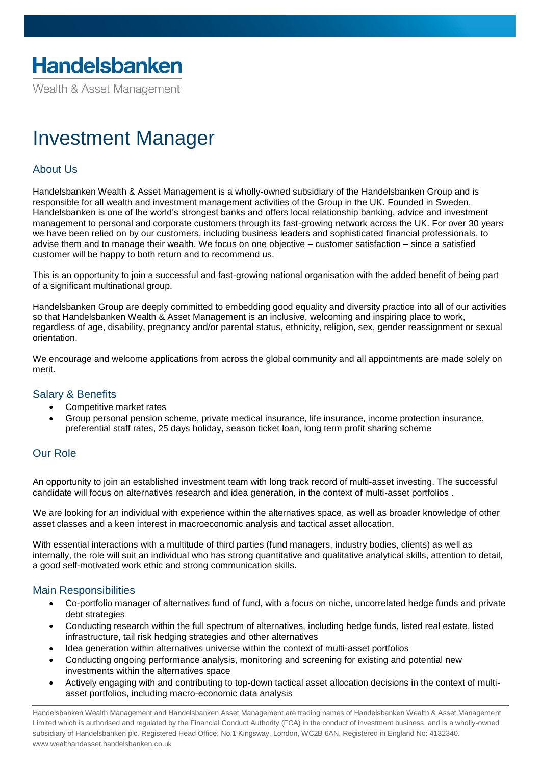Wealth & Asset Management

# Investment Manager

## About Us

Handelsbanken Wealth & Asset Management is a wholly-owned subsidiary of the Handelsbanken Group and is responsible for all wealth and investment management activities of the Group in the UK. Founded in Sweden, Handelsbanken is one of the world's strongest banks and offers local relationship banking, advice and investment management to personal and corporate customers through its fast-growing network across the UK. For over 30 years we have been relied on by our customers, including business leaders and sophisticated financial professionals, to advise them and to manage their wealth. We focus on one objective – customer satisfaction – since a satisfied customer will be happy to both return and to recommend us.

This is an opportunity to join a successful and fast-growing national organisation with the added benefit of being part of a significant multinational group.

Handelsbanken Group are deeply committed to embedding good equality and diversity practice into all of our activities so that Handelsbanken Wealth & Asset Management is an inclusive, welcoming and inspiring place to work, regardless of age, disability, pregnancy and/or parental status, ethnicity, religion, sex, gender reassignment or sexual orientation.

We encourage and welcome applications from across the global community and all appointments are made solely on merit.

### Salary & Benefits

- Competitive market rates
- Group personal pension scheme, private medical insurance, life insurance, income protection insurance, preferential staff rates, 25 days holiday, season ticket loan, long term profit sharing scheme

### Our Role

An opportunity to join an established investment team with long track record of multi-asset investing. The successful candidate will focus on alternatives research and idea generation, in the context of multi-asset portfolios .

We are looking for an individual with experience within the alternatives space, as well as broader knowledge of other asset classes and a keen interest in macroeconomic analysis and tactical asset allocation.

With essential interactions with a multitude of third parties (fund managers, industry bodies, clients) as well as internally, the role will suit an individual who has strong quantitative and qualitative analytical skills, attention to detail, a good self-motivated work ethic and strong communication skills.

#### Main Responsibilities

- Co-portfolio manager of alternatives fund of fund, with a focus on niche, uncorrelated hedge funds and private debt strategies
- Conducting research within the full spectrum of alternatives, including hedge funds, listed real estate, listed infrastructure, tail risk hedging strategies and other alternatives
- Idea generation within alternatives universe within the context of multi-asset portfolios
- Conducting ongoing performance analysis, monitoring and screening for existing and potential new investments within the alternatives space
- Actively engaging with and contributing to top-down tactical asset allocation decisions in the context of multiasset portfolios, including macro-economic data analysis

Handelsbanken Wealth Management and Handelsbanken Asset Management are trading names of Handelsbanken Wealth & Asset Management Limited which is authorised and regulated by the Financial Conduct Authority (FCA) in the conduct of investment business, and is a wholly-owned subsidiary of Handelsbanken plc. Registered Head Office: No.1 Kingsway, London, WC2B 6AN. Registered in England No: 4132340. www.wealthandasset.handelsbanken.co.uk